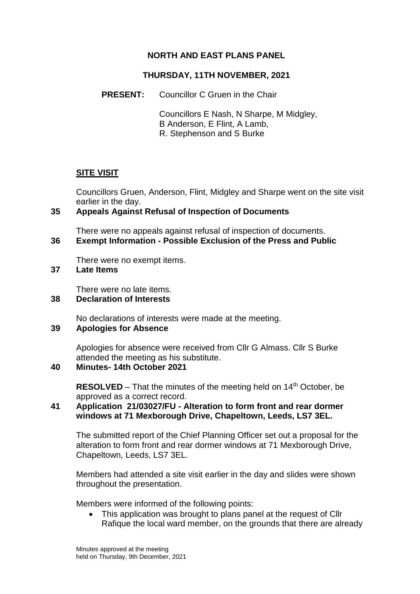## **NORTH AND EAST PLANS PANEL**

## **THURSDAY, 11TH NOVEMBER, 2021**

**PRESENT:** Councillor C Gruen in the Chair

Councillors E Nash, N Sharpe, M Midgley, B Anderson, E Flint, A Lamb, R. Stephenson and S Burke

## **SITE VISIT**

Councillors Gruen, Anderson, Flint, Midgley and Sharpe went on the site visit earlier in the day.

## **35 Appeals Against Refusal of Inspection of Documents**

There were no appeals against refusal of inspection of documents.

#### **36 Exempt Information - Possible Exclusion of the Press and Public**

There were no exempt items.

## **37 Late Items**

There were no late items.

## **38 Declaration of Interests**

No declarations of interests were made at the meeting.

## **39 Apologies for Absence**

Apologies for absence were received from Cllr G Almass. Cllr S Burke attended the meeting as his substitute.

## **40 Minutes- 14th October 2021**

**RESOLVED** – That the minutes of the meeting held on 14<sup>th</sup> October, be approved as a correct record.

## **41 Application 21/03027/FU - Alteration to form front and rear dormer windows at 71 Mexborough Drive, Chapeltown, Leeds, LS7 3EL.**

The submitted report of the Chief Planning Officer set out a proposal for the alteration to form front and rear dormer windows at 71 Mexborough Drive, Chapeltown, Leeds, LS7 3EL.

Members had attended a site visit earlier in the day and slides were shown throughout the presentation.

Members were informed of the following points:

 This application was brought to plans panel at the request of Cllr Rafique the local ward member, on the grounds that there are already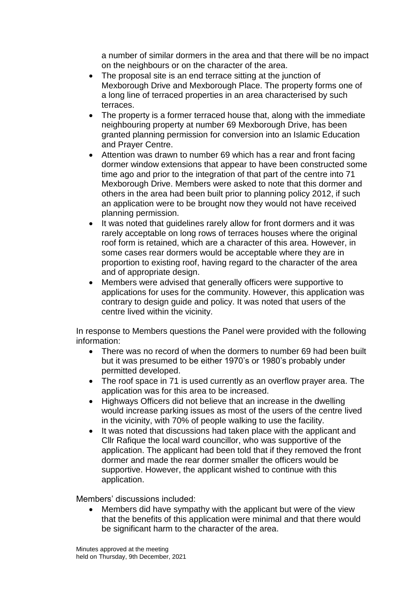a number of similar dormers in the area and that there will be no impact on the neighbours or on the character of the area.

- The proposal site is an end terrace sitting at the junction of Mexborough Drive and Mexborough Place. The property forms one of a long line of terraced properties in an area characterised by such terraces.
- The property is a former terraced house that, along with the immediate neighbouring property at number 69 Mexborough Drive, has been granted planning permission for conversion into an Islamic Education and Prayer Centre.
- Attention was drawn to number 69 which has a rear and front facing dormer window extensions that appear to have been constructed some time ago and prior to the integration of that part of the centre into 71 Mexborough Drive. Members were asked to note that this dormer and others in the area had been built prior to planning policy 2012, if such an application were to be brought now they would not have received planning permission.
- It was noted that guidelines rarely allow for front dormers and it was rarely acceptable on long rows of terraces houses where the original roof form is retained, which are a character of this area. However, in some cases rear dormers would be acceptable where they are in proportion to existing roof, having regard to the character of the area and of appropriate design.
- Members were advised that generally officers were supportive to applications for uses for the community. However, this application was contrary to design guide and policy. It was noted that users of the centre lived within the vicinity.

In response to Members questions the Panel were provided with the following information:

- There was no record of when the dormers to number 69 had been built but it was presumed to be either 1970's or 1980's probably under permitted developed.
- The roof space in 71 is used currently as an overflow prayer area. The application was for this area to be increased.
- Highways Officers did not believe that an increase in the dwelling would increase parking issues as most of the users of the centre lived in the vicinity, with 70% of people walking to use the facility.
- It was noted that discussions had taken place with the applicant and Cllr Rafique the local ward councillor, who was supportive of the application. The applicant had been told that if they removed the front dormer and made the rear dormer smaller the officers would be supportive. However, the applicant wished to continue with this application.

Members' discussions included:

 Members did have sympathy with the applicant but were of the view that the benefits of this application were minimal and that there would be significant harm to the character of the area.